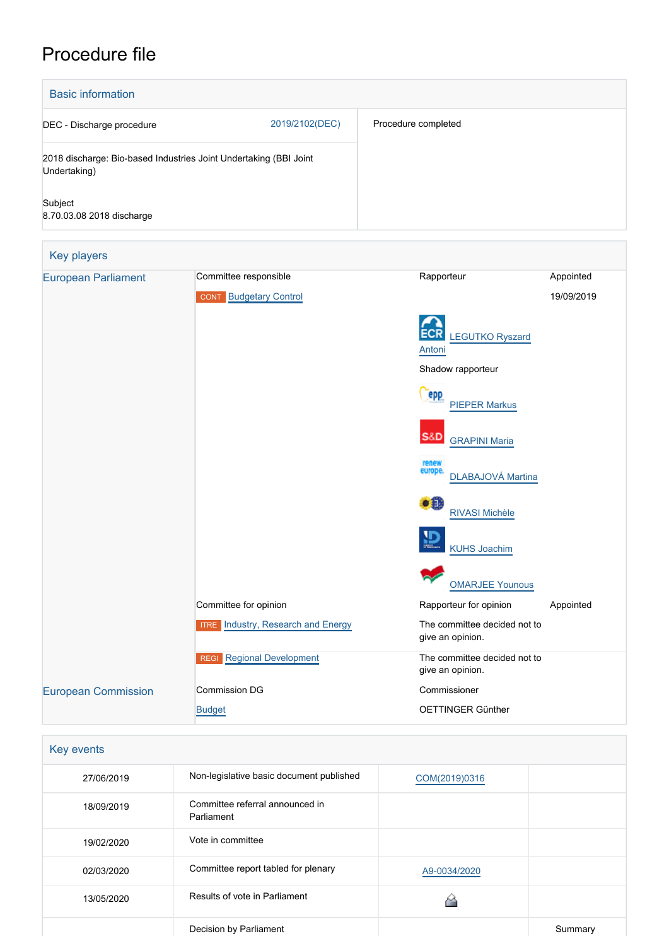# Procedure file

| <b>Basic information</b>                    |                                                                   |                                                  |                         |  |  |
|---------------------------------------------|-------------------------------------------------------------------|--------------------------------------------------|-------------------------|--|--|
| 2019/2102(DEC)<br>DEC - Discharge procedure |                                                                   | Procedure completed                              |                         |  |  |
| Undertaking)                                | 2018 discharge: Bio-based Industries Joint Undertaking (BBI Joint |                                                  |                         |  |  |
| Subject<br>8.70.03.08 2018 discharge        |                                                                   |                                                  |                         |  |  |
| Key players                                 |                                                                   |                                                  |                         |  |  |
| <b>European Parliament</b>                  | Committee responsible<br><b>CONT</b> Budgetary Control            | Rapporteur                                       | Appointed<br>19/09/2019 |  |  |
|                                             |                                                                   | <b>LEGUTKO Ryszard</b><br>Antoni                 |                         |  |  |
|                                             |                                                                   | Shadow rapporteur                                |                         |  |  |
|                                             |                                                                   | epp<br><b>PIEPER Markus</b>                      |                         |  |  |
|                                             |                                                                   | S&D<br><b>GRAPINI Maria</b>                      |                         |  |  |
|                                             |                                                                   | renew<br>europe.<br>DLABAJOVÁ Martina            |                         |  |  |
|                                             |                                                                   | æ.<br><b>RIVASI Michèle</b>                      |                         |  |  |
|                                             |                                                                   | <b>KUHS Joachim</b>                              |                         |  |  |
|                                             |                                                                   | <b>OMARJEE Younous</b>                           |                         |  |  |
|                                             | Committee for opinion                                             | Rapporteur for opinion                           | Appointed               |  |  |
|                                             | <b>ITRE</b> Industry, Research and Energy                         | The committee decided not to<br>give an opinion. |                         |  |  |
|                                             | <b>REGI Regional Development</b>                                  | The committee decided not to<br>give an opinion. |                         |  |  |
| <b>European Commission</b>                  | <b>Commission DG</b>                                              | Commissioner                                     |                         |  |  |
|                                             | <b>Budget</b>                                                     | OETTINGER Günther                                |                         |  |  |

| Key events |                                               |               |         |
|------------|-----------------------------------------------|---------------|---------|
| 27/06/2019 | Non-legislative basic document published      | COM(2019)0316 |         |
| 18/09/2019 | Committee referral announced in<br>Parliament |               |         |
| 19/02/2020 | Vote in committee                             |               |         |
| 02/03/2020 | Committee report tabled for plenary           | A9-0034/2020  |         |
| 13/05/2020 | Results of vote in Parliament                 |               |         |
|            | Decision by Parliament                        |               | Summary |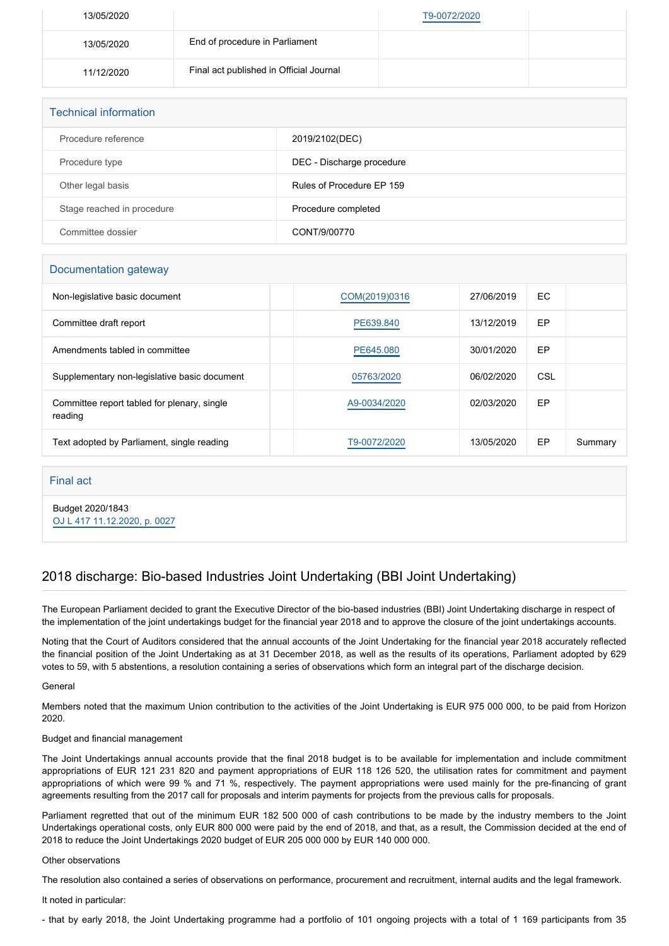| 13/05/2020 |                                         | T9-0072/2020 |  |
|------------|-----------------------------------------|--------------|--|
| 13/05/2020 | End of procedure in Parliament          |              |  |
| 11/12/2020 | Final act published in Official Journal |              |  |

| <b>Technical information</b> |                           |  |
|------------------------------|---------------------------|--|
| Procedure reference          | 2019/2102(DEC)            |  |
| Procedure type               | DEC - Discharge procedure |  |
| Other legal basis            | Rules of Procedure EP 159 |  |
| Stage reached in procedure   | Procedure completed       |  |
| Committee dossier            | CONT/9/00770              |  |

## Documentation gateway

| Non-legislative basic document                         | COM(2019)0316 | 27/06/2019 | EC. |         |
|--------------------------------------------------------|---------------|------------|-----|---------|
| Committee draft report                                 | PE639,840     | 13/12/2019 | EP  |         |
| Amendments tabled in committee                         | PE645.080     | 30/01/2020 | EP  |         |
| Supplementary non-legislative basic document           | 05763/2020    | 06/02/2020 | CSL |         |
| Committee report tabled for plenary, single<br>reading | A9-0034/2020  | 02/03/2020 | EP  |         |
| Text adopted by Parliament, single reading             | T9-0072/2020  | 13/05/2020 | EP  | Summary |

### Final act

Budget 2020/1843 [OJ L 417 11.12.2020, p. 0027](https://eur-lex.europa.eu/legal-content/EN/TXT/?uri=OJ:L:2020:417:TOC)

# 2018 discharge: Bio-based Industries Joint Undertaking (BBI Joint Undertaking)

The European Parliament decided to grant the Executive Director of the bio-based industries (BBI) Joint Undertaking discharge in respect of the implementation of the joint undertakings budget for the financial year 2018 and to approve the closure of the joint undertakings accounts.

Noting that the Court of Auditors considered that the annual accounts of the Joint Undertaking for the financial year 2018 accurately reflected the financial position of the Joint Undertaking as at 31 December 2018, as well as the results of its operations, Parliament adopted by 629 votes to 59, with 5 abstentions, a resolution containing a series of observations which form an integral part of the discharge decision.

### **General**

Members noted that the maximum Union contribution to the activities of the Joint Undertaking is EUR 975 000 000, to be paid from Horizon 2020.

### Budget and financial management

The Joint Undertakings annual accounts provide that the final 2018 budget is to be available for implementation and include commitment appropriations of EUR 121 231 820 and payment appropriations of EUR 118 126 520, the utilisation rates for commitment and payment appropriations of which were 99 % and 71 %, respectively. The payment appropriations were used mainly for the pre-financing of grant agreements resulting from the 2017 call for proposals and interim payments for projects from the previous calls for proposals.

Parliament regretted that out of the minimum EUR 182 500 000 of cash contributions to be made by the industry members to the Joint Undertakings operational costs, only EUR 800 000 were paid by the end of 2018, and that, as a result, the Commission decided at the end of 2018 to reduce the Joint Undertakings 2020 budget of EUR 205 000 000 by EUR 140 000 000.

### Other observations

The resolution also contained a series of observations on performance, procurement and recruitment, internal audits and the legal framework.

It noted in particular:

- that by early 2018, the Joint Undertaking programme had a portfolio of 101 ongoing projects with a total of 1 169 participants from 35